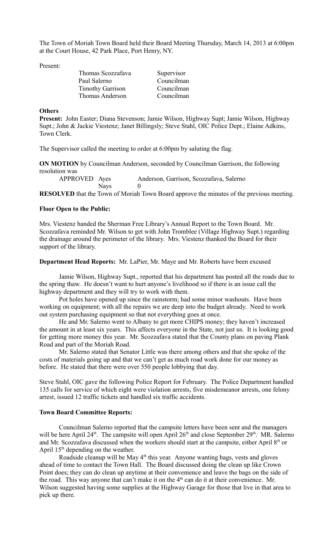The Town of Moriah Town Board held their Board Meeting Thursday, March 14, 2013 at 6:00pm at the Court House, 42 Park Place, Port Henry, NY.

Present:

| Supervisor |
|------------|
| Councilman |
| Councilman |
| Councilman |
|            |

#### **Others**

**Present:** John Easter; Diana Stevenson; Jamie Wilson, Highway Supt; Jamie Wilson, Highway Supt.; John & Jackie Viestenz; Janet Billingsly; Steve Stahl, OIC Police Dept.; Elaine Adkins, Town Clerk.

The Supervisor called the meeting to order at 6:00pm by saluting the flag.

**ON MOTION** by Councilman Anderson, seconded by Councilman Garrison, the following resolution was

APPROVED Ayes Anderson, Garrison, Scozzafava, Salerno Nays 0

**RESOLVED** that the Town of Moriah Town Board approve the minutes of the previous meeting.

## **Floor Open to the Public:**

Mrs. Viestenz handed the Sherman Free Library's Annual Report to the Town Board. Mr. Scozzafava reminded Mr. Wilson to get with John Tromblee (Village Highway Supt.) regarding the drainage around the perimeter of the library. Mrs. Viestenz thanked the Board for their support of the library.

## **Department Head Reports:** Mr. LaPier, Mr. Maye and Mr. Roberts have been excused

Jamie Wilson, Highway Supt., reported that his department has posted all the roads due to the spring thaw. He doesn't want to hurt anyone's livelihood so if there is an issue call the highway department and they will try to work with them.

Pot holes have opened up since the rainstorm; had some minor washouts. Have been working on equipment; with all the repairs we are deep into the budget already. Need to work out system purchasing equipment so that not everything goes at once.

He and Mr. Salerno went to Albany to get more CHIPS money; they haven't increased the amount in at least six years. This affects everyone in the State, not just us. It is looking good for getting more money this year. Mr. Scozzafava stated that the County plans on paving Plank Road and part of the Moriah Road.

Mr. Salerno stated that Senator Little was there among others and that she spoke of the costs of materials going up and that we can't get as much road work done for our money as before. He stated that there were over 550 people lobbying that day.

Steve Stahl, OIC gave the following Police Report for February. The Police Department handled 135 calls for service of which eight were violation arrests, five misdemeanor arrests, one felony arrest, issued 12 traffic tickets and handled six traffic accidents.

#### **Town Board Committee Reports:**

Councilman Salerno reported that the campsite letters have been sent and the managers will be here April 24<sup>th</sup>. The campsite will open April 26<sup>th</sup> and close September 29<sup>th</sup>. MR. Salerno and Mr. Scozzafava discussed when the workers should start at the campsite, either April 8<sup>th</sup> or April  $15<sup>th</sup>$  depending on the weather.

Roadside cleanup will be May 4<sup>th</sup> this year. Anyone wanting bags, vests and gloves ahead of time to contact the Town Hall. The Board discussed doing the clean up like Crown Point does; they can do clean up anytime at their convenience and leave the bags on the side of the road. This way anyone that can't make it on the 4<sup>th</sup> can do it at their convenience. Mr. Wilson suggested having some supplies at the Highway Garage for those that live in that area to pick up there.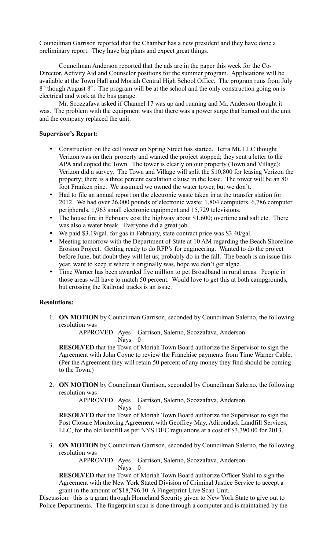Councilman Garrison reported that the Chamber has a new president and they have done a preliminary report. They have big plans and expect great things.

Councilman Anderson reported that the ads are in the paper this week for the Co-Director, Activity Aid and Counselor positions for the summer program. Applications will be available at the Town Hall and Moriah Central High School Office. The program runs from July  $8<sup>th</sup>$  though August  $8<sup>th</sup>$ . The program will be at the school and the only construction going on is electrical and work at the bus garage.

Mr. Scozzafava asked if Channel 17 was up and running and Mr. Anderson thought it was. The problem with the equipment was that there was a power surge that burned out the unit and the company replaced the unit.

## **Supervisor's Report:**

- Construction on the cell tower on Spring Street has started. Terra Mt. LLC thought Verizon was on their property and wanted the project stopped; they sent a letter to the APA and copied the Town. The tower is clearly on our property (Town and Village); Verizon did a survey. The Town and Village will split the \$10,800 for leasing Verizon the property; there is a three percent escalation clause in the lease. The tower will be an 80 foot Franken pine. We assumed we owned the water tower, but we don't.
- Had to file an annual report on the electronic waste taken in at the transfer station for 2012. We had over 26,000 pounds of electronic waste; 1,804 computers, 6,786 computer peripherals, 1,963 small electronic equipment and 15,729 televisions.
- The house fire in February cost the highway about \$1,600; overtime and salt etc. There was also a water break. Everyone did a great job.
- We paid \$3.19/gal. for gas in February, state contract price was \$3.40/gal.
- Meeting tomorrow with the Department of State at 10 AM regarding the Beach Shoreline Erosion Project. Getting ready to do RFP's for engineering. Wanted to do the project before June, but doubt they will let us; probably do in the fall. The beach is an issue this year, want to keep it where it originally was, hope we don't get algae.
- Time Warner has been awarded five million to get Broadband in rural areas. People in those areas will have to match 50 percent. Would love to get this at both campgrounds, but crossing the Railroad tracks is an issue.

#### **Resolutions:**

1. **ON MOTION** by Councilman Garrison, seconded by Councilman Salerno, the following resolution was

APPROVED Ayes Garrison, Salerno, Scozzafava, Anderson Nays 0

**RESOLVED** that the Town of Moriah Town Board authorize the Supervisor to sign the Agreement with John Coyne to review the Franchise payments from Time Warner Cable. (Per the Agreement they will retain 50 percent of any money they find should be coming to the Town.)

2. **ON MOTION** by Councilman Garrison, seconded by Councilman Salerno, the following resolution was

APPROVED Ayes Garrison, Salerno, Scozzafava, Anderson Nays 0

**RESOLVED** that the Town of Moriah Town Board authorize the Supervisor to sign the Post Closure Monitoring Agreement with Geoffrey May, Adirondack Landfill Services, LLC, for the old landfill as per NYS DEC regulations at a cost of \$3,390.00 for 2013.

3. **ON MOTION** by Councilman Garrison, seconded by Councilman Salerno, the following resolution was

> APPROVED Ayes Garrison, Salerno, Scozzafava, Anderson Nays 0

**RESOLVED** that the Town of Moriah Town Board authorize Officer Stahl to sign the Agreement with the New York Stated Division of Criminal Justice Service to accept a grant in the amount of \$18,796.10 A Fingerprint Live Scan Unit.

Discussion: this is a grant through Homeland Security given to New York State to give out to Police Departments. The fingerprint scan is done through a computer and is maintained by the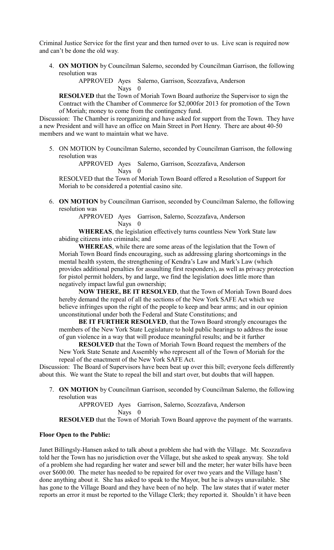Criminal Justice Service for the first year and then turned over to us. Live scan is required now and can't be done the old way.

4. **ON MOTION** by Councilman Salerno, seconded by Councilman Garrison, the following resolution was

APPROVED Ayes Salerno, Garrison, Scozzafava, Anderson

Nays 0

**RESOLVED** that the Town of Moriah Town Board authorize the Supervisor to sign the Contract with the Chamber of Commerce for \$2,000for 2013 for promotion of the Town of Moriah; money to come from the contingency fund.

Discussion: The Chamber is reorganizing and have asked for support from the Town. They have a new President and will have an office on Main Street in Port Henry. There are about 40-50 members and we want to maintain what we have.

5. ON MOTION by Councilman Salerno, seconded by Councilman Garrison, the following resolution was

APPROVED Ayes Salerno, Garrison, Scozzafava, Anderson Nays 0

RESOLVED that the Town of Moriah Town Board offered a Resolution of Support for Moriah to be considered a potential casino site.

6. **ON MOTION** by Councilman Garrison, seconded by Councilman Salerno, the following resolution was

> APPROVED Ayes Garrison, Salerno, Scozzafava, Anderson Nays 0

**WHEREAS**, the legislation effectively turns countless New York State law abiding citizens into criminals; and

**WHEREAS**, while there are some areas of the legislation that the Town of Moriah Town Board finds encouraging, such as addressing glaring shortcomings in the mental health system, the strengthening of Kendra's Law and Mark's Law (which provides additional penalties for assaulting first responders), as well as privacy protection for pistol permit holders, by and large, we find the legislation does little more than negatively impact lawful gun ownership;

**NOW THERE, BE IT RESOLVED**, that the Town of Moriah Town Board does hereby demand the repeal of all the sections of the New York SAFE Act which we believe infringes upon the right of the people to keep and bear arms; and in our opinion unconstitutional under both the Federal and State Constitutions; and

**BE IT FURTHER RESOLVED**, that the Town Board strongly encourages the members of the New York State Legislature to hold public hearings to address the issue of gun violence in a way that will produce meaningful results; and be it further

**RESOLVED** that the Town of Moriah Town Board request the members of the New York State Senate and Assembly who represent all of the Town of Moriah for the repeal of the enactment of the New York SAFE Act.

Discussion: The Board of Supervisors have been beat up over this bill; everyone feels differently about this. We want the State to repeal the bill and start over, but doubts that will happen.

7. **ON MOTION** by Councilman Garrison, seconded by Councilman Salerno, the following resolution was

> APPROVED Ayes Garrison, Salerno, Scozzafava, Anderson Nays 0

**RESOLVED** that the Town of Moriah Town Board approve the payment of the warrants.

# **Floor Open to the Public:**

Janet Billingsly-Hansen asked to talk about a problem she had with the Village. Mr. Scozzafava told her the Town has no jurisdiction over the Village, but she asked to speak anyway. She told of a problem she had regarding her water and sewer bill and the meter; her water bills have been over \$600.00. The meter has needed to be repaired for over two years and the Village hasn't done anything about it. She has asked to speak to the Mayor, but he is always unavailable. She has gone to the Village Board and they have been of no help. The law states that if water meter reports an error it must be reported to the Village Clerk; they reported it. Shouldn't it have been